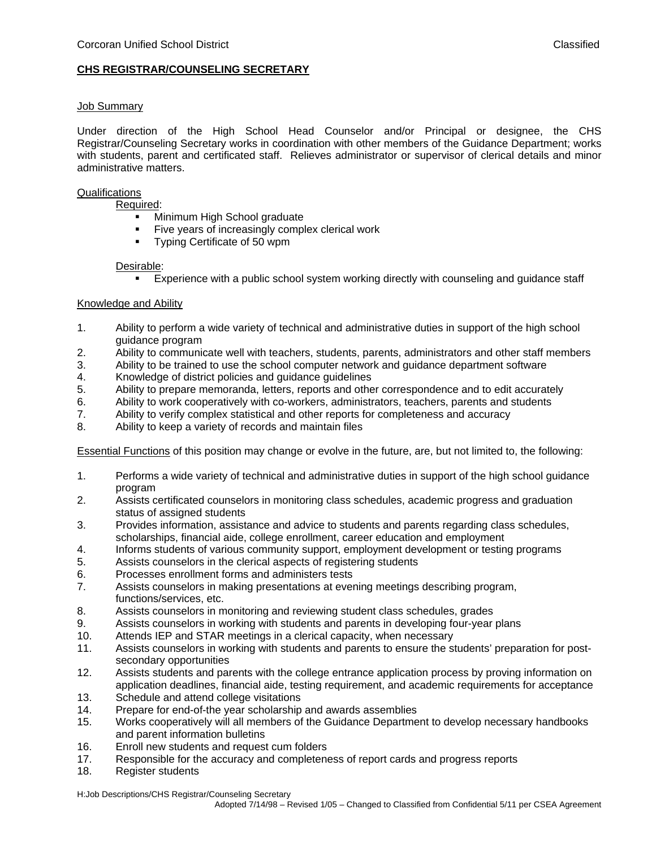# **CHS REGISTRAR/COUNSELING SECRETARY**

### Job Summary

Under direction of the High School Head Counselor and/or Principal or designee, the CHS Registrar/Counseling Secretary works in coordination with other members of the Guidance Department; works with students, parent and certificated staff. Relieves administrator or supervisor of clerical details and minor administrative matters.

### **Qualifications**

Required:

- **Minimum High School graduate**
- Five years of increasingly complex clerical work<br>Typing Certificate of 50 wpm
- Typing Certificate of 50 wpm

### Desirable:

Experience with a public school system working directly with counseling and guidance staff

# Knowledge and Ability

- 1. Ability to perform a wide variety of technical and administrative duties in support of the high school guidance program
- 2. Ability to communicate well with teachers, students, parents, administrators and other staff members
- 3. Ability to be trained to use the school computer network and guidance department software
- 4. Knowledge of district policies and guidance guidelines
- 5. Ability to prepare memoranda, letters, reports and other correspondence and to edit accurately
- 6. Ability to work cooperatively with co-workers, administrators, teachers, parents and students
- 7. Ability to verify complex statistical and other reports for completeness and accuracy
- 8. Ability to keep a variety of records and maintain files

Essential Functions of this position may change or evolve in the future, are, but not limited to, the following:

- 1. Performs a wide variety of technical and administrative duties in support of the high school guidance program
- 2. Assists certificated counselors in monitoring class schedules, academic progress and graduation status of assigned students
- 3. Provides information, assistance and advice to students and parents regarding class schedules, scholarships, financial aide, college enrollment, career education and employment
- 4. Informs students of various community support, employment development or testing programs
- 5. Assists counselors in the clerical aspects of registering students
- 6. Processes enrollment forms and administers tests
- 7. Assists counselors in making presentations at evening meetings describing program, functions/services, etc.
- 8. Assists counselors in monitoring and reviewing student class schedules, grades
- 9. Assists counselors in working with students and parents in developing four-year plans
- 10. Attends IEP and STAR meetings in a clerical capacity, when necessary
- 11. Assists counselors in working with students and parents to ensure the students' preparation for postsecondary opportunities
- 12. Assists students and parents with the college entrance application process by proving information on application deadlines, financial aide, testing requirement, and academic requirements for acceptance
- 13. Schedule and attend college visitations
- 14. Prepare for end-of-the year scholarship and awards assemblies
- 15. Works cooperatively will all members of the Guidance Department to develop necessary handbooks and parent information bulletins
- 16. Enroll new students and request cum folders
- 17. Responsible for the accuracy and completeness of report cards and progress reports
- 18. Register students

H:Job Descriptions/CHS Registrar/Counseling Secretary